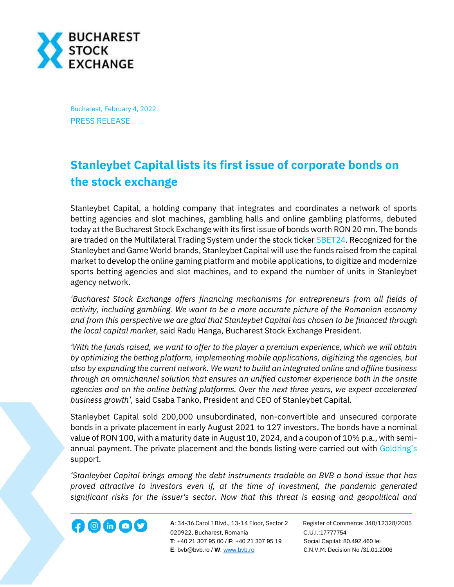

Bucharest, February 4, 2022 PRESS RELEASE

## **Stanleybet Capital lists its first issue of corporate bonds on the stock exchange**

Stanleybet Capital, a holding company that integrates and coordinates a network of sports betting agencies and slot machines, gambling halls and online gambling platforms, debuted today at the Bucharest Stock Exchange with its first issue of bonds worth RON 20 mn. The bonds are traded on the Multilateral Trading System under the stock ticker [SBET24.](https://bvb.ro/FinancialInstruments/Details/FinancialInstrumentsDetails.aspx?s=SBET24) Recognized for the Stanleybet and Game World brands, Stanleybet Capital will use the funds raised from the capital market to develop the online gaming platform and mobile applications, to digitize and modernize sports betting agencies and slot machines, and to expand the number of units in Stanleybet agency network.

*'Bucharest Stock Exchange offers financing mechanisms for entrepreneurs from all fields of activity, including gambling. We want to be a more accurate picture of the Romanian economy and from this perspective we are glad that Stanleybet Capital has chosen to be financed through the local capital market*, said Radu Hanga, Bucharest Stock Exchange President.

*'With the funds raised, we want to offer to the player a premium experience, which we will obtain by optimizing the betting platform, implementing mobile applications, digitizing the agencies, but also by expanding the current network. We want to build an integrated online and offline business through an omnichannel solution that ensures an unified customer experience both in the onsite agencies and on the online betting platforms. Over the next three years, we expect accelerated business growth',* said Csaba Tanko, President and CEO of Stanleybet Capital.

Stanleybet Capital sold 200,000 unsubordinated, non-convertible and unsecured corporate bonds in a private placement in early August 2021 to 127 investors. The bonds have a nominal value of RON 100, with a maturity date in August 10, 2024, and a coupon of 10% p.a., with semiannual payment. The private placement and the bonds listing were carried out with [Goldring](https://www.goldring.ro/)'s support.

*'Stanleybet Capital brings among the debt instruments tradable on BVB a bond issue that has proved attractive to investors even if, at the time of investment, the pandemic generated significant risks for the issuer's sector. Now that this threat is easing and geopolitical and* 



**A**: 34-36 Carol I Blvd., 13-14 Floor, Sector 2 Register of Commerce: J40/12328/2005 **1200 CD CD CONF A**: 34-36 Carol I Blvd., 13-14 Floor, Sector 2 Register of Comm<br>020922, Bucharest, Romania C.U.I.:17777754  **T**: +40 21 307 95 00 / **F**: +40 21 307 95 19 Social Capital: 80.492.460 lei **E**: bvb@bvb.ro / **W**[: www.bvb.ro](http://www.bvb.ro/) C.N.V.M. Decision No /31.01.2006